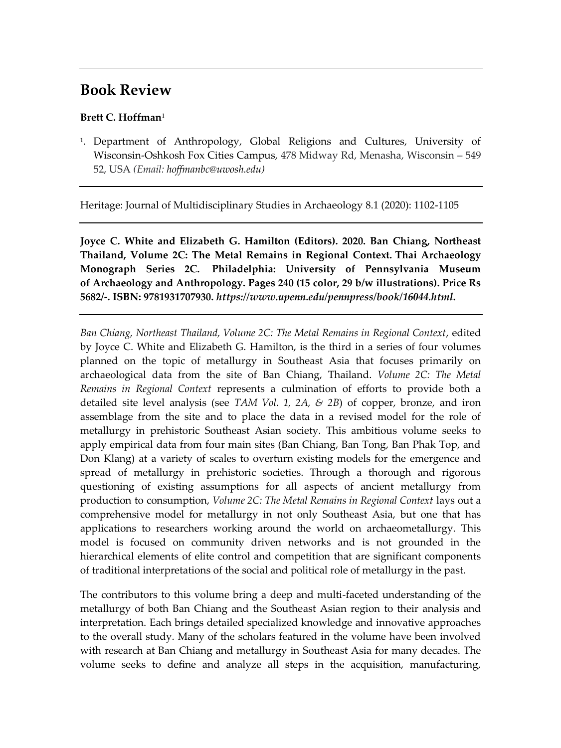## **Book Review**

## **Brett C. Hoffman**<sup>1</sup>

1 . Department of Anthropology, Global Religions and Cultures, University of Wisconsin-Oshkosh Fox Cities Campus, 478 Midway Rd, Menasha, Wisconsin – 549 52, USA *(Email: hoffmanbc@uwosh.edu)*

Heritage: Journal of Multidisciplinary Studies in Archaeology 8.1 (2020): 1102-1105

**Joyce C. White and Elizabeth G. Hamilton (Editors). 2020. Ban Chiang, Northeast Thailand, Volume 2C: The Metal Remains in Regional Context. Thai Archaeology Monograph Series 2C. Philadelphia: University of Pennsylvania Museum of Archaeology and Anthropology. Pages 240 (15 color, 29 b/w illustrations). Price Rs 5682/-. ISBN: 9781931707930.** *[https://www.upenn.edu/pennpress/book/16044.html.](https://www.upenn.edu/pennpress/book/16044.html)* 

*Ban Chiang, Northeast Thailand, Volume 2C: The Metal Remains in Regional Context*, edited by Joyce C. White and Elizabeth G. Hamilton, is the third in a series of four volumes planned on the topic of metallurgy in Southeast Asia that focuses primarily on archaeological data from the site of Ban Chiang, Thailand. *Volume 2C: The Metal Remains in Regional Context* represents a culmination of efforts to provide both a detailed site level analysis (see *TAM Vol. 1, 2A, & 2B*) of copper, bronze, and iron assemblage from the site and to place the data in a revised model for the role of metallurgy in prehistoric Southeast Asian society. This ambitious volume seeks to apply empirical data from four main sites (Ban Chiang, Ban Tong, Ban Phak Top, and Don Klang) at a variety of scales to overturn existing models for the emergence and spread of metallurgy in prehistoric societies. Through a thorough and rigorous questioning of existing assumptions for all aspects of ancient metallurgy from production to consumption, *Volume 2C: The Metal Remains in Regional Context* lays out a comprehensive model for metallurgy in not only Southeast Asia, but one that has applications to researchers working around the world on archaeometallurgy. This model is focused on community driven networks and is not grounded in the hierarchical elements of elite control and competition that are significant components of traditional interpretations of the social and political role of metallurgy in the past.

The contributors to this volume bring a deep and multi-faceted understanding of the metallurgy of both Ban Chiang and the Southeast Asian region to their analysis and interpretation. Each brings detailed specialized knowledge and innovative approaches to the overall study. Many of the scholars featured in the volume have been involved with research at Ban Chiang and metallurgy in Southeast Asia for many decades. The volume seeks to define and analyze all steps in the acquisition, manufacturing,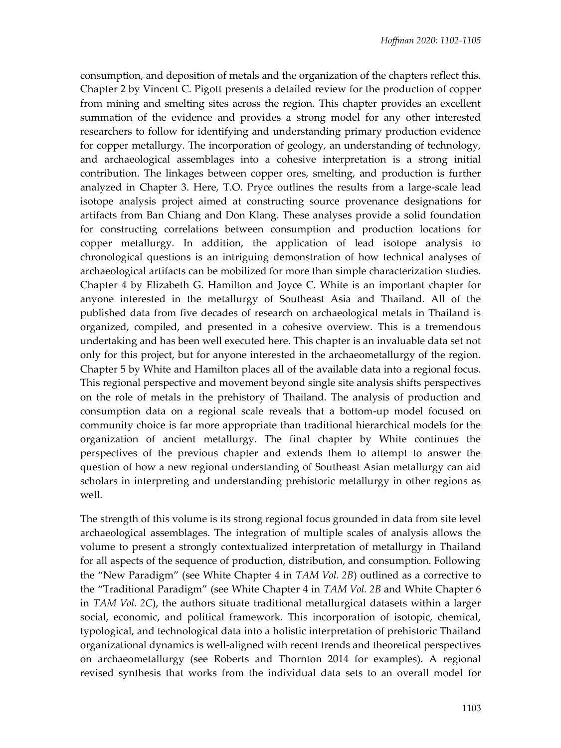consumption, and deposition of metals and the organization of the chapters reflect this. Chapter 2 by Vincent C. Pigott presents a detailed review for the production of copper from mining and smelting sites across the region. This chapter provides an excellent summation of the evidence and provides a strong model for any other interested researchers to follow for identifying and understanding primary production evidence for copper metallurgy. The incorporation of geology, an understanding of technology, and archaeological assemblages into a cohesive interpretation is a strong initial contribution. The linkages between copper ores, smelting, and production is further analyzed in Chapter 3. Here, T.O. Pryce outlines the results from a large-scale lead isotope analysis project aimed at constructing source provenance designations for artifacts from Ban Chiang and Don Klang. These analyses provide a solid foundation for constructing correlations between consumption and production locations for copper metallurgy. In addition, the application of lead isotope analysis to chronological questions is an intriguing demonstration of how technical analyses of archaeological artifacts can be mobilized for more than simple characterization studies. Chapter 4 by Elizabeth G. Hamilton and Joyce C. White is an important chapter for anyone interested in the metallurgy of Southeast Asia and Thailand. All of the published data from five decades of research on archaeological metals in Thailand is organized, compiled, and presented in a cohesive overview. This is a tremendous undertaking and has been well executed here. This chapter is an invaluable data set not only for this project, but for anyone interested in the archaeometallurgy of the region. Chapter 5 by White and Hamilton places all of the available data into a regional focus. This regional perspective and movement beyond single site analysis shifts perspectives on the role of metals in the prehistory of Thailand. The analysis of production and consumption data on a regional scale reveals that a bottom-up model focused on community choice is far more appropriate than traditional hierarchical models for the organization of ancient metallurgy. The final chapter by White continues the perspectives of the previous chapter and extends them to attempt to answer the question of how a new regional understanding of Southeast Asian metallurgy can aid scholars in interpreting and understanding prehistoric metallurgy in other regions as well.

The strength of this volume is its strong regional focus grounded in data from site level archaeological assemblages. The integration of multiple scales of analysis allows the volume to present a strongly contextualized interpretation of metallurgy in Thailand for all aspects of the sequence of production, distribution, and consumption. Following the "New Paradigm" (see White Chapter 4 in *TAM Vol. 2B*) outlined as a corrective to the "Traditional Paradigm" (see White Chapter 4 in *TAM Vol. 2B* and White Chapter 6 in *TAM Vol. 2C*), the authors situate traditional metallurgical datasets within a larger social, economic, and political framework. This incorporation of isotopic, chemical, typological, and technological data into a holistic interpretation of prehistoric Thailand organizational dynamics is well-aligned with recent trends and theoretical perspectives on archaeometallurgy (see Roberts and Thornton 2014 for examples). A regional revised synthesis that works from the individual data sets to an overall model for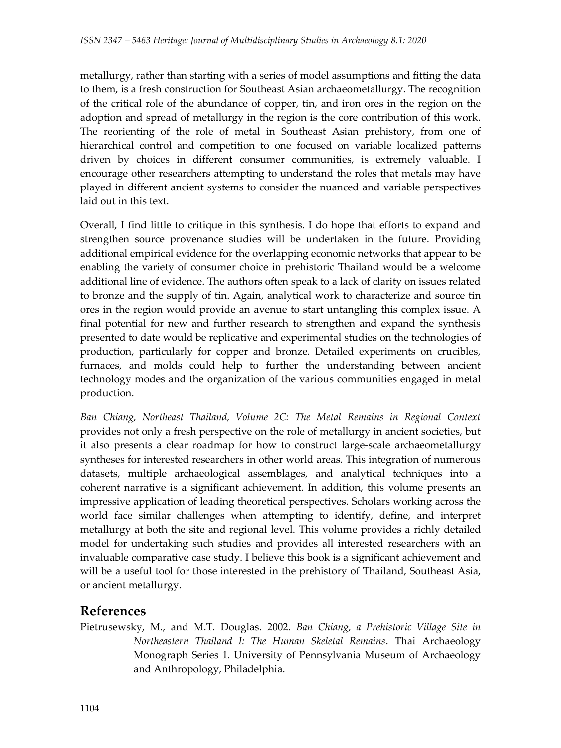metallurgy, rather than starting with a series of model assumptions and fitting the data to them, is a fresh construction for Southeast Asian archaeometallurgy. The recognition of the critical role of the abundance of copper, tin, and iron ores in the region on the adoption and spread of metallurgy in the region is the core contribution of this work. The reorienting of the role of metal in Southeast Asian prehistory, from one of hierarchical control and competition to one focused on variable localized patterns driven by choices in different consumer communities, is extremely valuable. I encourage other researchers attempting to understand the roles that metals may have played in different ancient systems to consider the nuanced and variable perspectives laid out in this text.

Overall, I find little to critique in this synthesis. I do hope that efforts to expand and strengthen source provenance studies will be undertaken in the future. Providing additional empirical evidence for the overlapping economic networks that appear to be enabling the variety of consumer choice in prehistoric Thailand would be a welcome additional line of evidence. The authors often speak to a lack of clarity on issues related to bronze and the supply of tin. Again, analytical work to characterize and source tin ores in the region would provide an avenue to start untangling this complex issue. A final potential for new and further research to strengthen and expand the synthesis presented to date would be replicative and experimental studies on the technologies of production, particularly for copper and bronze. Detailed experiments on crucibles, furnaces, and molds could help to further the understanding between ancient technology modes and the organization of the various communities engaged in metal production.

*Ban Chiang, Northeast Thailand, Volume 2C: The Metal Remains in Regional Context*  provides not only a fresh perspective on the role of metallurgy in ancient societies, but it also presents a clear roadmap for how to construct large-scale archaeometallurgy syntheses for interested researchers in other world areas. This integration of numerous datasets, multiple archaeological assemblages, and analytical techniques into a coherent narrative is a significant achievement. In addition, this volume presents an impressive application of leading theoretical perspectives. Scholars working across the world face similar challenges when attempting to identify, define, and interpret metallurgy at both the site and regional level. This volume provides a richly detailed model for undertaking such studies and provides all interested researchers with an invaluable comparative case study. I believe this book is a significant achievement and will be a useful tool for those interested in the prehistory of Thailand, Southeast Asia, or ancient metallurgy.

## **References**

Pietrusewsky, M., and M.T. Douglas. 2002. *Ban Chiang, a Prehistoric Village Site in Northeastern Thailand I: The Human Skeletal Remains*. Thai Archaeology Monograph Series 1. University of Pennsylvania Museum of Archaeology and Anthropology, Philadelphia.